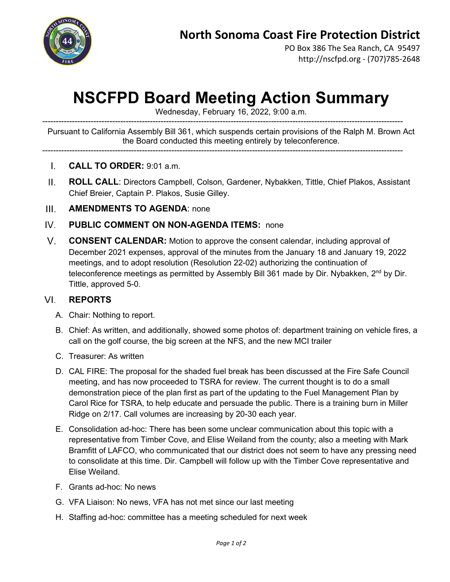

PO Box 386 The Sea Ranch, CA 95497 http://nscfpd.org - (707)785-2648

## **NSCFPD Board Meeting Action Summary**

Wednesday, February 16, 2022, 9:00 a.m.

-------------------------------------------------------------------------------------------------------------------------------------- Pursuant to California Assembly Bill 361, which suspends certain provisions of the Ralph M. Brown Act the Board conducted this meeting entirely by teleconference.

--------------------------------------------------------------------------------------------------------------------------------------

- **CALL TO ORDER:** 9:01 a.m.  $\mathbf{L}$
- $II.$ **ROLL CALL**: Directors Campbell, Colson, Gardener, Nybakken, Tittle, Chief Plakos, Assistant Chief Breier, Captain P. Plakos, Susie Gilley.
- $III.$ **AMENDMENTS TO AGENDA**: none
- $IV_{-}$ **PUBLIC COMMENT ON NON-AGENDA ITEMS:** none
- $V_{\rm{H}}$ **CONSENT CALENDAR:** Motion to approve the consent calendar, including approval of December 2021 expenses, approval of the minutes from the January 18 and January 19, 2022 meetings, and to adopt resolution (Resolution 22-02) authorizing the continuation of teleconference meetings as permitted by Assembly Bill 361 made by Dir. Nybakken, 2<sup>nd</sup> by Dir. Tittle, approved 5-0.

## **REPORTS**  $VI.$

- A. Chair: Nothing to report.
- B. Chief: As written, and additionally, showed some photos of: department training on vehicle fires, a call on the golf course, the big screen at the NFS, and the new MCI trailer
- C. Treasurer: As written
- D. CAL FIRE: The proposal for the shaded fuel break has been discussed at the Fire Safe Council meeting, and has now proceeded to TSRA for review. The current thought is to do a small demonstration piece of the plan first as part of the updating to the Fuel Management Plan by Carol Rice for TSRA, to help educate and persuade the public. There is a training burn in Miller Ridge on 2/17. Call volumes are increasing by 20-30 each year.
- E. Consolidation ad-hoc: There has been some unclear communication about this topic with a representative from Timber Cove, and Elise Weiland from the county; also a meeting with Mark Bramfitt of LAFCO, who communicated that our district does not seem to have any pressing need to consolidate at this time. Dir. Campbell will follow up with the Timber Cove representative and Elise Weiland.
- F. Grants ad-hoc: No news
- G. VFA Liaison: No news, VFA has not met since our last meeting
- H. Staffing ad-hoc: committee has a meeting scheduled for next week